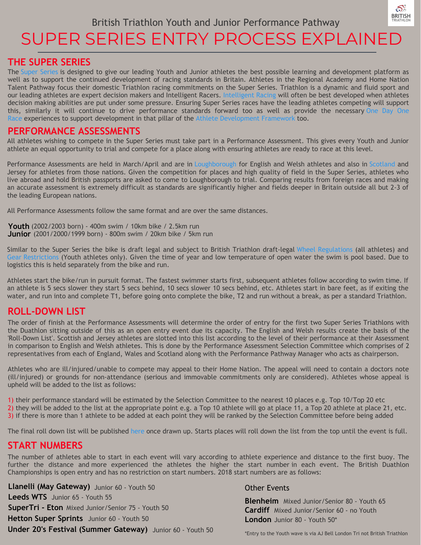

# SUPER SERIES ENTRY PROCESS EXPLAINED

#### **THE SUPER SERIES**

The Super [Series](https://www.britishtriathlon.org/events/performance-events/youth-and-junior-super-series) is designed to give our leading Youth and Junior athletes the best possible learning and development platform as well as to support the continued development of racing standards in Britain. Athletes in the Regional Academy and Home Nation Talent Pathway focus their domestic Triathlon racing commitments on the Super Series. Triathlon is a dynamic and fluid sport and our leading athletes are expert decision makers and Intelligent Racers. [Intelligent](https://www.britishtriathlon.org/gb-teams/talent/athlete-development-framework/intelligent-racing) Racing will often be best developed when athletes decision making abilities are put under some pressure. Ensuring Super Series races have the leading athletes competing will support this, similarly it will continue to drive performance standards forward too as well as provide the necessary One Day One Race experiences to support development in that pillar of the Athlete [Development](https://www.britishtriathlon.org/gb-teams/talent/athlete-development-framework/one-day-one-race) Framework too.

#### **PERFORMANCE ASSESSMENTS**

All athletes wishing to compete in the Super Series must take part in a Performance Assessment. This gives every Youth and Junior athlete an equal opportunity to trial and compete for a place along with ensuring athletes are ready to race at this level.

Performance Assessments are held in March/April and are in [Loughborough](https://www.britishtriathlon.org/gb-teams/talent/english-talent/performance-assessment-weekend) for English and Welsh athletes and also in [Scotland](http://www.triathlonscotland.org/wp-content/uploads/2018-Performance-Assessment-information.pdf) and Jersey for athletes from those nations. Given the competition for places and high quality of field in the Super Series, athletes who live abroad and hold British passports are asked to come to Loughborough to trial. Comparing results from foreign races and making an accurate assessment is extremely difficult as standards are significantly higher and fields deeper in Britain outside all but 2-3 of the leading European nations.

All Performance Assessments follow the same format and are over the same distances.

(2002/2003 born) - 400m swim / 10km bike / 2.5km run **Youth** (2001/2000/1999 born) - 800m swim / 20km bike / 5km run **Junior**

Similar to the Super Series the bike is draft legal and subject to British Triathlon draft-legal Wheel [Regulations](https://www.britishtriathlon.org/gb-teams/talent/english-talent/wheel-regulations) (all athletes) and Gear [Restrictions](https://www.britishtriathlon.org/gear-restrictions) (Youth athletes only). Given the time of year and low temperature of open water the swim is pool based. Due to logistics this is held separately from the bike and run.

Athletes start the bike/run in pursuit format. The fastest swimmer starts first, subsequent athletes follow according to swim time. If an athlete is 5 secs slower they start 5 secs behind, 10 secs slower 10 secs behind, etc. Athletes start in bare feet, as if exiting the water, and run into and complete T1, before going onto complete the bike, T2 and run without a break, as per a standard Triathlon.

### **ROLL-DOWN LIST**

The order of finish at the Performance Assessments will determine the order of entry for the first two Super Series Triathlons with the Duathlon sitting outside of this as an open entry event due its capacity. The English and Welsh results create the basis of the 'Roll-Down List'. Scottish and Jersey athletes are slotted into this list according to the level of their performance at their Assessment in comparison to English and Welsh athletes. This is done by the Performance Assessment Selection Committee which comprises of 2 representatives from each of England, Wales and Scotland along with the Performance Pathway Manager who acts as chairperson.

Athletes who are ill/injured/unable to compete may appeal to their Home Nation. The appeal will need to contain a doctors note (ill/injured) or grounds for non-attendance (serious and immovable commitments only are considered). Athletes whose appeal is upheld will be added to the list as follows:

1) their performance standard will be estimated by the Selection Committee to the nearest 10 places e.g. Top 10/Top 20 etc

2) they will be added to the list at the appropriate point e.g. a Top 10 athlete will go at place 11, a Top 20 athlete at place 21, etc.

3) if there is more than 1 athlete to be added at each point they will be ranked by the Selection Committee before being added

The final roll down list will be published [here](https://www.britishtriathlon.org/events/performance-events/youth-and-junior-super-series/roll-down-list) once drawn up. Starts places will roll down the list from the top until the event is full.

#### **START NUMBERS**

The number of athletes able to start in each event will vary according to athlete experience and distance to the first buoy. The further the distance and more experienced the athletes the higher the start number in each event. The British Duathlon Championships is open entry and has no restriction on start numbers. 2018 start numbers are as follows:

**Llanelli (May Gateway)** Junior 60 - Youth 50 **Leeds WTS** Junior 65 - Youth 55 **SuperTri - Eton** Mixed Junior/Senior 75 - Youth 50 **Hetton Super Sprints** Junior 60 - Youth 50 **Under 20's Festival (Summer Gateway)** Junior 60 - Youth 50

#### Other Events

**Blenheim** Mixed Junior/Senior 80 - Youth 65 **Cardiff** Mixed Junior/Senior 60 - no Youth **London** Junior 80 - Youth 50\*

\*Entry to the Youth wave is via AJ Bell London Tri not British Triathlon